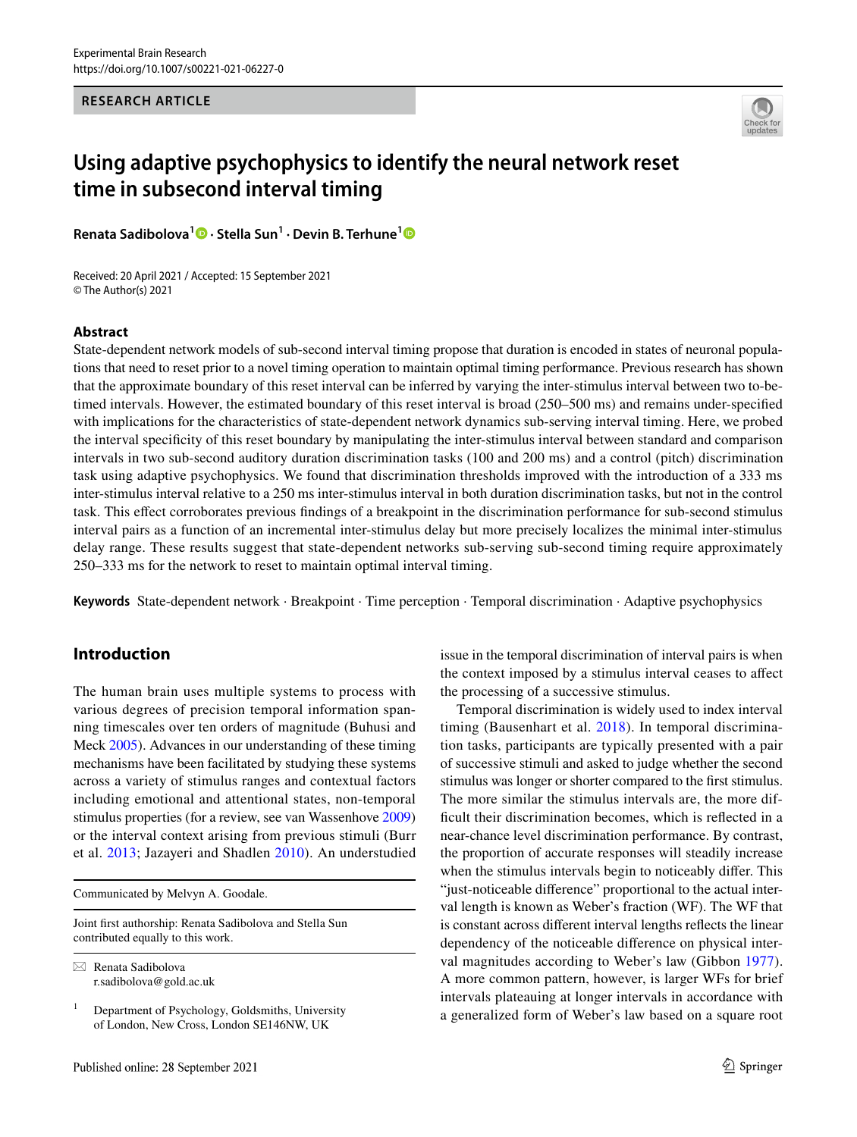## **RESEARCH ARTICLE**



# **Using adaptive psychophysics to identify the neural network reset time in subsecond interval timing**

**Renata Sadibolova1 · Stella Sun1 · Devin B. Terhune[1](http://orcid.org/0000-0002-6792-4975)**

Received: 20 April 2021 / Accepted: 15 September 2021 © The Author(s) 2021

## **Abstract**

State-dependent network models of sub-second interval timing propose that duration is encoded in states of neuronal populations that need to reset prior to a novel timing operation to maintain optimal timing performance. Previous research has shown that the approximate boundary of this reset interval can be inferred by varying the inter-stimulus interval between two to-betimed intervals. However, the estimated boundary of this reset interval is broad (250–500 ms) and remains under-specifed with implications for the characteristics of state-dependent network dynamics sub-serving interval timing. Here, we probed the interval specifcity of this reset boundary by manipulating the inter-stimulus interval between standard and comparison intervals in two sub-second auditory duration discrimination tasks (100 and 200 ms) and a control (pitch) discrimination task using adaptive psychophysics. We found that discrimination thresholds improved with the introduction of a 333 ms inter-stimulus interval relative to a 250 ms inter-stimulus interval in both duration discrimination tasks, but not in the control task. This efect corroborates previous fndings of a breakpoint in the discrimination performance for sub-second stimulus interval pairs as a function of an incremental inter-stimulus delay but more precisely localizes the minimal inter-stimulus delay range. These results suggest that state-dependent networks sub-serving sub-second timing require approximately 250–333 ms for the network to reset to maintain optimal interval timing.

**Keywords** State-dependent network · Breakpoint · Time perception · Temporal discrimination · Adaptive psychophysics

# **Introduction**

The human brain uses multiple systems to process with various degrees of precision temporal information spanning timescales over ten orders of magnitude (Buhusi and Meck [2005\)](#page-6-0). Advances in our understanding of these timing mechanisms have been facilitated by studying these systems across a variety of stimulus ranges and contextual factors including emotional and attentional states, non-temporal stimulus properties (for a review, see van Wassenhove [2009\)](#page-7-0) or the interval context arising from previous stimuli (Burr et al. [2013;](#page-7-1) Jazayeri and Shadlen [2010\)](#page-7-2). An understudied

Communicated by Melvyn A. Goodale.

Joint frst authorship: Renata Sadibolova and Stella Sun contributed equally to this work.

 $\boxtimes$  Renata Sadibolova r.sadibolova@gold.ac.uk

 $1$  Department of Psychology, Goldsmiths, University of London, New Cross, London SE146NW, UK

issue in the temporal discrimination of interval pairs is when the context imposed by a stimulus interval ceases to afect the processing of a successive stimulus.

Temporal discrimination is widely used to index interval timing (Bausenhart et al. [2018](#page-6-1)). In temporal discrimination tasks, participants are typically presented with a pair of successive stimuli and asked to judge whether the second stimulus was longer or shorter compared to the frst stimulus. The more similar the stimulus intervals are, the more diffcult their discrimination becomes, which is refected in a near-chance level discrimination performance. By contrast, the proportion of accurate responses will steadily increase when the stimulus intervals begin to noticeably difer. This "just-noticeable diference" proportional to the actual interval length is known as Weber's fraction (WF). The WF that is constant across diferent interval lengths refects the linear dependency of the noticeable diference on physical interval magnitudes according to Weber's law (Gibbon [1977](#page-7-3)). A more common pattern, however, is larger WFs for brief intervals plateauing at longer intervals in accordance with a generalized form of Weber's law based on a square root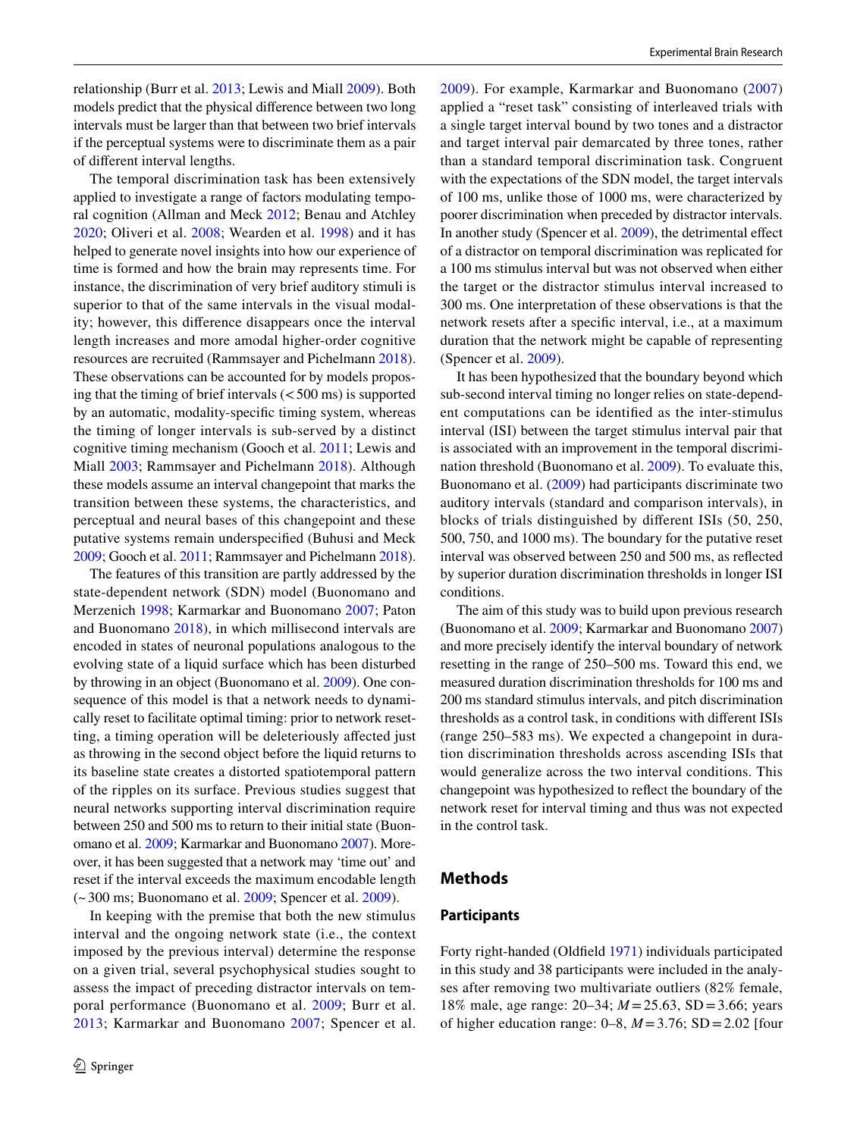relationship (Burr et al. [2013;](#page-7-1) Lewis and Miall [2009](#page-7-4)). Both models predict that the physical diference between two long intervals must be larger than that between two brief intervals if the perceptual systems were to discriminate them as a pair of diferent interval lengths.

The temporal discrimination task has been extensively applied to investigate a range of factors modulating temporal cognition (Allman and Meck [2012;](#page-6-2) Benau and Atchley [2020;](#page-6-3) Oliveri et al. [2008](#page-7-5); Wearden et al. [1998\)](#page-7-6) and it has helped to generate novel insights into how our experience of time is formed and how the brain may represents time. For instance, the discrimination of very brief auditory stimuli is superior to that of the same intervals in the visual modality; however, this diference disappears once the interval length increases and more amodal higher-order cognitive resources are recruited (Rammsayer and Pichelmann [2018](#page-7-7)). These observations can be accounted for by models proposing that the timing of brief intervals  $(<500 \text{ ms})$  is supported by an automatic, modality-specifc timing system, whereas the timing of longer intervals is sub-served by a distinct cognitive timing mechanism (Gooch et al. [2011](#page-7-8); Lewis and Miall [2003](#page-7-9); Rammsayer and Pichelmann [2018\)](#page-7-7). Although these models assume an interval changepoint that marks the transition between these systems, the characteristics, and perceptual and neural bases of this changepoint and these putative systems remain underspecifed (Buhusi and Meck [2009;](#page-6-4) Gooch et al. [2011;](#page-7-8) Rammsayer and Pichelmann [2018](#page-7-7)).

The features of this transition are partly addressed by the state-dependent network (SDN) model (Buonomano and Merzenich [1998;](#page-6-5) Karmarkar and Buonomano [2007](#page-7-10); Paton and Buonomano [2018](#page-7-11)), in which millisecond intervals are encoded in states of neuronal populations analogous to the evolving state of a liquid surface which has been disturbed by throwing in an object (Buonomano et al. [2009\)](#page-7-12). One consequence of this model is that a network needs to dynamically reset to facilitate optimal timing: prior to network resetting, a timing operation will be deleteriously afected just as throwing in the second object before the liquid returns to its baseline state creates a distorted spatiotemporal pattern of the ripples on its surface. Previous studies suggest that neural networks supporting interval discrimination require between 250 and 500 ms to return to their initial state (Buonomano et al. [2009](#page-7-12); Karmarkar and Buonomano [2007\)](#page-7-10). Moreover, it has been suggested that a network may 'time out' and reset if the interval exceeds the maximum encodable length (~300 ms; Buonomano et al. [2009;](#page-7-12) Spencer et al. [2009](#page-7-13)).

In keeping with the premise that both the new stimulus interval and the ongoing network state (i.e., the context imposed by the previous interval) determine the response on a given trial, several psychophysical studies sought to assess the impact of preceding distractor intervals on temporal performance (Buonomano et al. [2009;](#page-7-12) Burr et al. [2013](#page-7-1); Karmarkar and Buonomano [2007](#page-7-10); Spencer et al. [2009\)](#page-7-13). For example, Karmarkar and Buonomano ([2007\)](#page-7-10) applied a "reset task" consisting of interleaved trials with a single target interval bound by two tones and a distractor and target interval pair demarcated by three tones, rather than a standard temporal discrimination task. Congruent with the expectations of the SDN model, the target intervals of 100 ms, unlike those of 1000 ms, were characterized by poorer discrimination when preceded by distractor intervals. In another study (Spencer et al. [2009\)](#page-7-13), the detrimental efect of a distractor on temporal discrimination was replicated for a 100 ms stimulus interval but was not observed when either the target or the distractor stimulus interval increased to 300 ms. One interpretation of these observations is that the network resets after a specifc interval, i.e., at a maximum duration that the network might be capable of representing (Spencer et al. [2009\)](#page-7-13).

It has been hypothesized that the boundary beyond which sub-second interval timing no longer relies on state-dependent computations can be identifed as the inter-stimulus interval (ISI) between the target stimulus interval pair that is associated with an improvement in the temporal discrimination threshold (Buonomano et al. [2009](#page-7-12)). To evaluate this, Buonomano et al. [\(2009\)](#page-7-12) had participants discriminate two auditory intervals (standard and comparison intervals), in blocks of trials distinguished by diferent ISIs (50, 250, 500, 750, and 1000 ms). The boundary for the putative reset interval was observed between 250 and 500 ms, as refected by superior duration discrimination thresholds in longer ISI conditions.

The aim of this study was to build upon previous research (Buonomano et al. [2009](#page-7-12); Karmarkar and Buonomano [2007](#page-7-10)) and more precisely identify the interval boundary of network resetting in the range of 250–500 ms. Toward this end, we measured duration discrimination thresholds for 100 ms and 200 ms standard stimulus intervals, and pitch discrimination thresholds as a control task, in conditions with diferent ISIs (range 250–583 ms). We expected a changepoint in duration discrimination thresholds across ascending ISIs that would generalize across the two interval conditions. This changepoint was hypothesized to refect the boundary of the network reset for interval timing and thus was not expected in the control task.

## **Methods**

#### **Participants**

Forty right-handed (Oldfeld [1971](#page-7-14)) individuals participated in this study and 38 participants were included in the analyses after removing two multivariate outliers (82% female, 18% male, age range: 20–34; *M* =25.63, SD =3.66; years of higher education range:  $0-8$ ,  $M = 3.76$ ; SD = 2.02 [four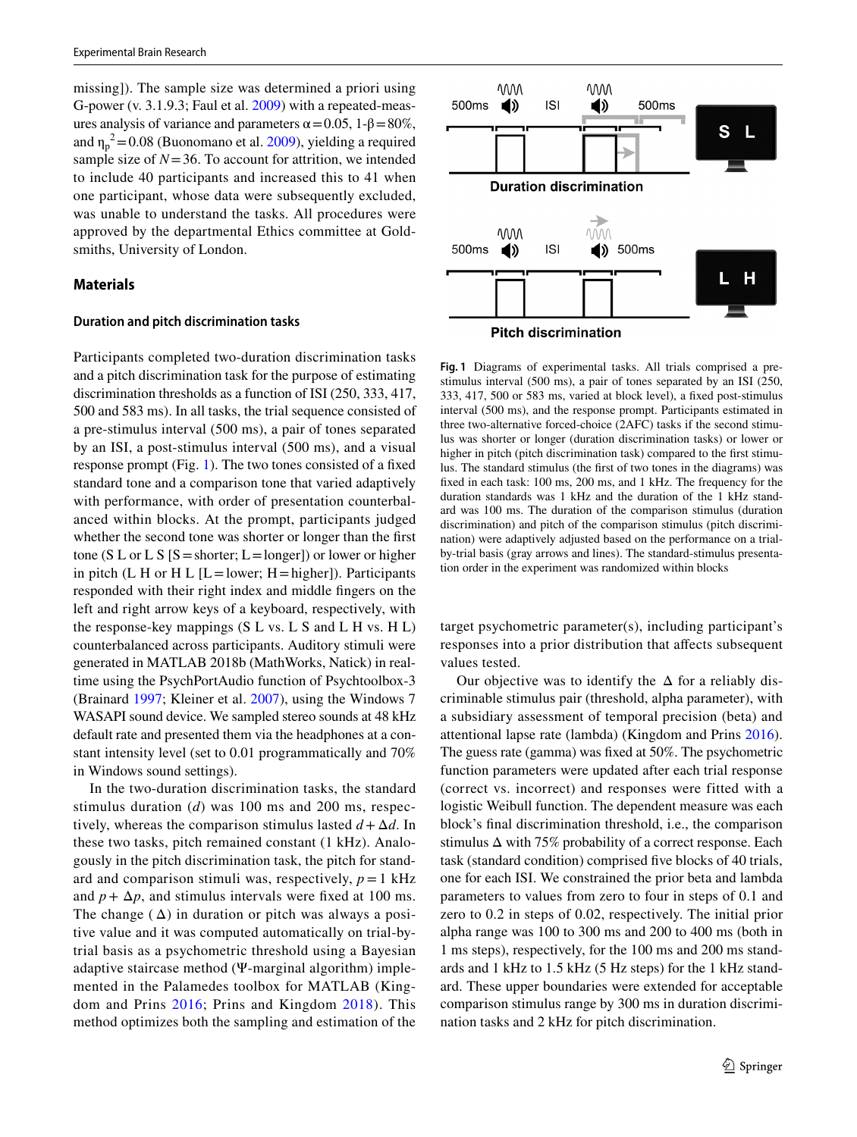missing]). The sample size was determined a priori using G-power (v. 3.1.9.3; Faul et al. [2009](#page-7-15)) with a repeated-measures analysis of variance and parameters  $\alpha$  = 0.05, 1-β = 80%, and  $\eta_p^2$  = 0.08 (Buonomano et al. [2009\)](#page-7-12), yielding a required sample size of  $N=36$ . To account for attrition, we intended to include 40 participants and increased this to 41 when one participant, whose data were subsequently excluded, was unable to understand the tasks. All procedures were approved by the departmental Ethics committee at Goldsmiths, University of London.

## **Materials**

#### **Duration and pitch discrimination tasks**

Participants completed two-duration discrimination tasks and a pitch discrimination task for the purpose of estimating discrimination thresholds as a function of ISI (250, 333, 417, 500 and 583 ms). In all tasks, the trial sequence consisted of a pre-stimulus interval (500 ms), a pair of tones separated by an ISI, a post-stimulus interval (500 ms), and a visual response prompt (Fig. [1\)](#page-2-0). The two tones consisted of a fxed standard tone and a comparison tone that varied adaptively with performance, with order of presentation counterbalanced within blocks. At the prompt, participants judged whether the second tone was shorter or longer than the frst tone (S L or L S [S = shorter;  $L =$ longer]) or lower or higher in pitch (L H or H L  $[L = lower; H = higher]$ ). Participants responded with their right index and middle fngers on the left and right arrow keys of a keyboard, respectively, with the response-key mappings  $(S L vs. L S and L H vs. H L)$ counterbalanced across participants. Auditory stimuli were generated in MATLAB 2018b (MathWorks, Natick) in realtime using the PsychPortAudio function of Psychtoolbox-3 (Brainard [1997;](#page-6-6) Kleiner et al. [2007](#page-7-16)), using the Windows 7 WASAPI sound device. We sampled stereo sounds at 48 kHz default rate and presented them via the headphones at a constant intensity level (set to 0.01 programmatically and 70% in Windows sound settings).

In the two-duration discrimination tasks, the standard stimulus duration (*d*) was 100 ms and 200 ms, respectively, whereas the comparison stimulus lasted  $d + \Delta d$ . In these two tasks, pitch remained constant (1 kHz). Analogously in the pitch discrimination task, the pitch for standard and comparison stimuli was, respectively,  $p = 1$  kHz and  $p + \Delta p$ , and stimulus intervals were fixed at 100 ms. The change  $(\Delta)$  in duration or pitch was always a positive value and it was computed automatically on trial-bytrial basis as a psychometric threshold using a Bayesian adaptive staircase method (Ψ-marginal algorithm) implemented in the Palamedes toolbox for MATLAB (Kingdom and Prins [2016](#page-7-17); Prins and Kingdom [2018\)](#page-7-18). This method optimizes both the sampling and estimation of the



<span id="page-2-0"></span>**Fig. 1** Diagrams of experimental tasks. All trials comprised a prestimulus interval (500 ms), a pair of tones separated by an ISI (250, 333, 417, 500 or 583 ms, varied at block level), a fxed post-stimulus interval (500 ms), and the response prompt. Participants estimated in three two-alternative forced-choice (2AFC) tasks if the second stimulus was shorter or longer (duration discrimination tasks) or lower or higher in pitch (pitch discrimination task) compared to the frst stimulus. The standard stimulus (the frst of two tones in the diagrams) was fxed in each task: 100 ms, 200 ms, and 1 kHz. The frequency for the duration standards was 1 kHz and the duration of the 1 kHz standard was 100 ms. The duration of the comparison stimulus (duration discrimination) and pitch of the comparison stimulus (pitch discrimination) were adaptively adjusted based on the performance on a trialby-trial basis (gray arrows and lines). The standard-stimulus presentation order in the experiment was randomized within blocks

target psychometric parameter(s), including participant's responses into a prior distribution that afects subsequent values tested.

Our objective was to identify the  $\Delta$  for a reliably discriminable stimulus pair (threshold, alpha parameter), with a subsidiary assessment of temporal precision (beta) and attentional lapse rate (lambda) (Kingdom and Prins [2016](#page-7-17)). The guess rate (gamma) was fxed at 50%. The psychometric function parameters were updated after each trial response (correct vs. incorrect) and responses were fitted with a logistic Weibull function. The dependent measure was each block's fnal discrimination threshold, i.e., the comparison stimulus Δ with 75% probability of a correct response. Each task (standard condition) comprised fve blocks of 40 trials, one for each ISI. We constrained the prior beta and lambda parameters to values from zero to four in steps of 0.1 and zero to 0.2 in steps of 0.02, respectively. The initial prior alpha range was 100 to 300 ms and 200 to 400 ms (both in 1 ms steps), respectively, for the 100 ms and 200 ms standards and 1 kHz to 1.5 kHz (5 Hz steps) for the 1 kHz standard. These upper boundaries were extended for acceptable comparison stimulus range by 300 ms in duration discrimination tasks and 2 kHz for pitch discrimination.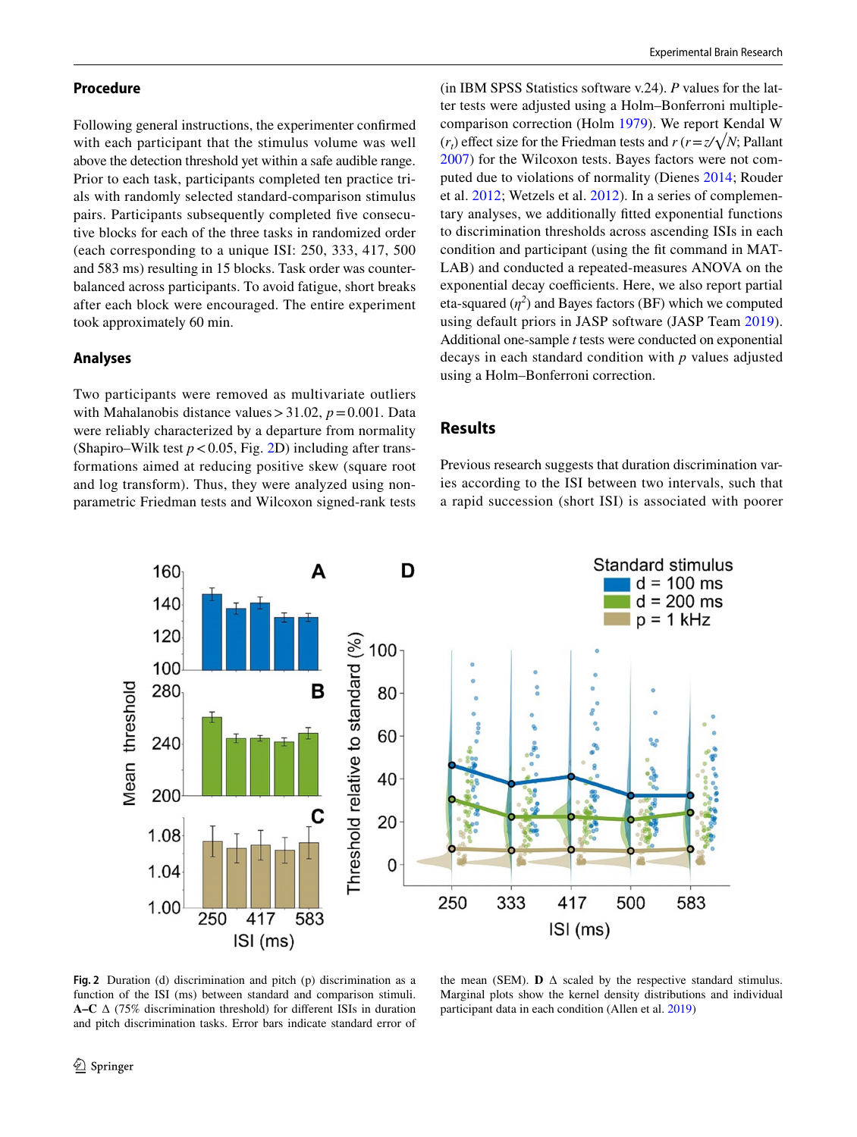## **Procedure**

Following general instructions, the experimenter confrmed with each participant that the stimulus volume was well above the detection threshold yet within a safe audible range. Prior to each task, participants completed ten practice trials with randomly selected standard-comparison stimulus pairs. Participants subsequently completed fve consecutive blocks for each of the three tasks in randomized order (each corresponding to a unique ISI: 250, 333, 417, 500 and 583 ms) resulting in 15 blocks. Task order was counterbalanced across participants. To avoid fatigue, short breaks after each block were encouraged. The entire experiment took approximately 60 min.

#### **Analyses**

Two participants were removed as multivariate outliers with Mahalanobis distance values $>$ 31.02,  $p = 0.001$ . Data were reliably characterized by a departure from normality (Shapiro–Wilk test  $p < 0.05$ , Fig. [2D](#page-3-0)) including after transformations aimed at reducing positive skew (square root and log transform). Thus, they were analyzed using nonparametric Friedman tests and Wilcoxon signed-rank tests (in IBM SPSS Statistics software v.24). *P* values for the latter tests were adjusted using a Holm–Bonferroni multiplecomparison correction (Holm [1979](#page-7-19)). We report Kendal W  $(r_t)$  effect size for the Friedman tests and  $r(r = z/\sqrt{N})$ ; Pallant [2007](#page-7-20)) for the Wilcoxon tests. Bayes factors were not computed due to violations of normality (Dienes [2014](#page-7-21); Rouder et al. [2012;](#page-7-22) Wetzels et al. [2012\)](#page-7-23). In a series of complementary analyses, we additionally ftted exponential functions to discrimination thresholds across ascending ISIs in each condition and participant (using the ft command in MAT-LAB) and conducted a repeated-measures ANOVA on the exponential decay coefficients. Here, we also report partial eta-squared  $(\eta^2)$  and Bayes factors (BF) which we computed using default priors in JASP software (JASP Team [2019](#page-7-24)). Additional one-sample *t* tests were conducted on exponential decays in each standard condition with *p* values adjusted using a Holm–Bonferroni correction.

## **Results**

Previous research suggests that duration discrimination varies according to the ISI between two intervals, such that a rapid succession (short ISI) is associated with poorer



<span id="page-3-0"></span>**Fig. 2** Duration (d) discrimination and pitch (p) discrimination as a function of the ISI (ms) between standard and comparison stimuli. **A–C** ∆ (75% discrimination threshold) for diferent ISIs in duration and pitch discrimination tasks. Error bars indicate standard error of

the mean (SEM). **D**  $\Delta$  scaled by the respective standard stimulus. Marginal plots show the kernel density distributions and individual participant data in each condition (Allen et al. [2019](#page-6-7))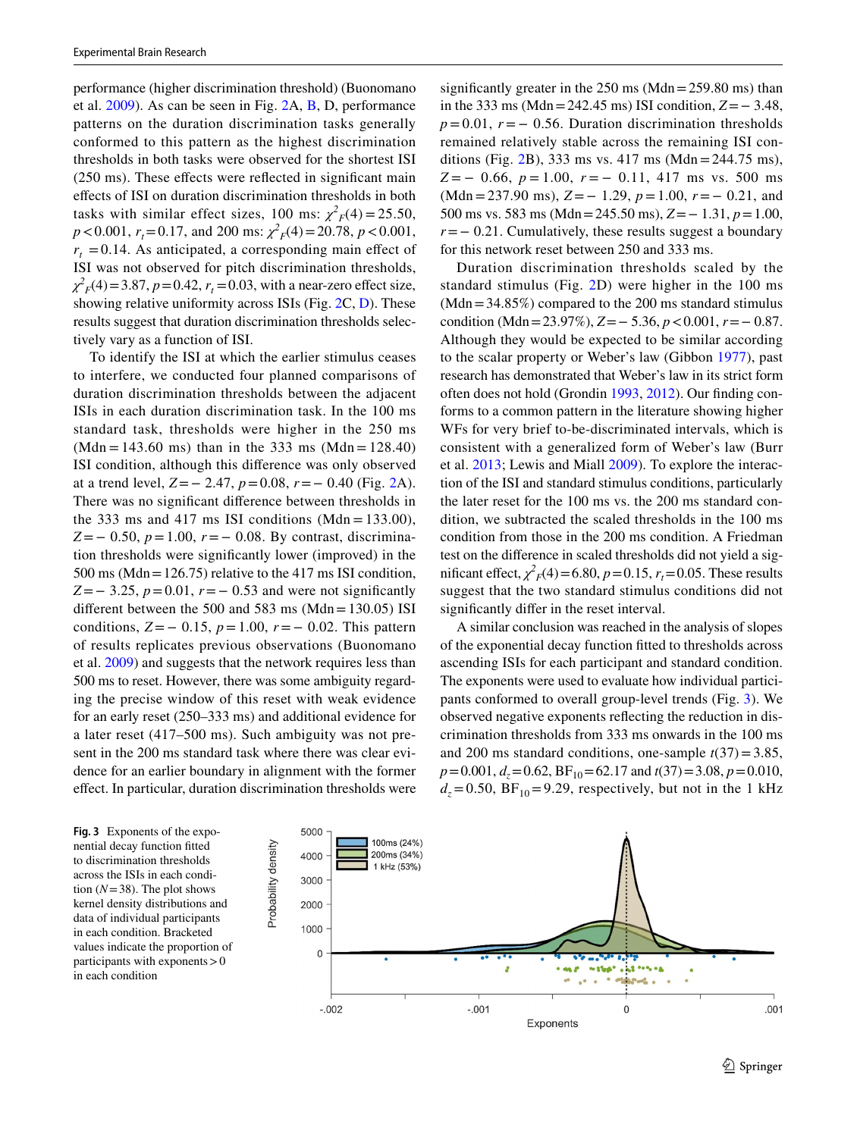performance (higher discrimination threshold) (Buonomano et al. [2009\)](#page-7-12). As can be seen in Fig. [2A](#page-3-0), [B](#page-3-0), D, performance patterns on the duration discrimination tasks generally conformed to this pattern as the highest discrimination thresholds in both tasks were observed for the shortest ISI (250 ms). These efects were refected in signifcant main efects of ISI on duration discrimination thresholds in both tasks with similar effect sizes, 100 ms:  $\chi^2 F(4) = 25.50$ ,  $p < 0.001$ ,  $r_t = 0.17$ , and 200 ms:  $\chi^2 F(4) = 20.78$ ,  $p < 0.001$ ,  $r<sub>t</sub> = 0.14$ . As anticipated, a corresponding main effect of ISI was not observed for pitch discrimination thresholds,  $\chi^2$ <sub>*F*</sub>(4) = 3.87, *p* = 0.42, *r<sub>t</sub>* = 0.03, with a near-zero effect size, showing relative uniformity across ISIs (Fig. [2C](#page-3-0), [D\)](#page-3-0). These results suggest that duration discrimination thresholds selectively vary as a function of ISI.

To identify the ISI at which the earlier stimulus ceases to interfere, we conducted four planned comparisons of duration discrimination thresholds between the adjacent ISIs in each duration discrimination task. In the 100 ms standard task, thresholds were higher in the 250 ms  $(Mdn = 143.60 \text{ ms})$  than in the 333 ms  $(Mdn = 128.40)$ ISI condition, although this diference was only observed at a trend level, *Z*=− 2.47, *p*=0.08, *r*=− 0.40 (Fig. [2A](#page-3-0)). There was no signifcant diference between thresholds in the 333 ms and 417 ms ISI conditions (Mdn =  $133.00$ ), *Z*=− 0.50, *p*=1.00, *r*=− 0.08. By contrast, discrimination thresholds were signifcantly lower (improved) in the 500 ms (Mdn=126.75) relative to the 417 ms ISI condition, *Z*=− 3.25, *p*=0.01, *r* = − 0.53 and were not significantly different between the 500 and 583 ms  $(Mdn=130.05)$  ISI conditions, *Z*=− 0.15, *p*=1.00, *r*=− 0.02. This pattern of results replicates previous observations (Buonomano et al. [2009\)](#page-7-12) and suggests that the network requires less than 500 ms to reset. However, there was some ambiguity regarding the precise window of this reset with weak evidence for an early reset (250–333 ms) and additional evidence for a later reset (417–500 ms). Such ambiguity was not present in the 200 ms standard task where there was clear evidence for an earlier boundary in alignment with the former efect. In particular, duration discrimination thresholds were significantly greater in the  $250 \text{ ms}$  (Mdn =  $259.80 \text{ ms}$ ) than in the 333 ms (Mdn=242.45 ms) ISI condition, *Z*=− 3.48, *p*=0.01, *r* = − 0.56. Duration discrimination thresholds remained relatively stable across the remaining ISI conditions (Fig. [2](#page-3-0)B), 333 ms vs. 417 ms (Mdn=244.75 ms), *Z* = − 0.66, *p* = 1.00, *r* = − 0.11, 417 ms vs. 500 ms (Mdn=237.90 ms), *Z*=− 1.29, *p*=1.00, *r*=− 0.21, and 500 ms vs. 583 ms (Mdn=245.50 ms), *Z*=− 1.31, *p*=1.00, *r* = − 0.21. Cumulatively, these results suggest a boundary for this network reset between 250 and 333 ms.

Duration discrimination thresholds scaled by the standard stimulus (Fig. [2D](#page-3-0)) were higher in the 100 ms  $(Mdn=34.85\%)$  compared to the 200 ms standard stimulus condition (Mdn=23.97%), *Z*=− 5.36, *p*<0.001, *r*=− 0.87. Although they would be expected to be similar according to the scalar property or Weber's law (Gibbon [1977\)](#page-7-3), past research has demonstrated that Weber's law in its strict form often does not hold (Grondin [1993,](#page-7-25) [2012](#page-7-26)). Our fnding conforms to a common pattern in the literature showing higher WFs for very brief to-be-discriminated intervals, which is consistent with a generalized form of Weber's law (Burr et al. [2013;](#page-7-1) Lewis and Miall [2009](#page-7-4)). To explore the interaction of the ISI and standard stimulus conditions, particularly the later reset for the 100 ms vs. the 200 ms standard condition, we subtracted the scaled thresholds in the 100 ms condition from those in the 200 ms condition. A Friedman test on the diference in scaled thresholds did not yield a significant effect,  $\chi^2_F(4) = 6.80, p = 0.15, r_t = 0.05$ . These results suggest that the two standard stimulus conditions did not signifcantly difer in the reset interval.

A similar conclusion was reached in the analysis of slopes of the exponential decay function ftted to thresholds across ascending ISIs for each participant and standard condition. The exponents were used to evaluate how individual participants conformed to overall group-level trends (Fig. [3](#page-4-0)). We observed negative exponents refecting the reduction in discrimination thresholds from 333 ms onwards in the 100 ms and 200 ms standard conditions, one-sample  $t(37) = 3.85$ , *p*=0.001, *d<sub>z</sub>*=0.62, BF<sub>10</sub>=62.17 and *t*(37)=3.08, *p*=0.010,  $d_z = 0.50$ , BF<sub>10</sub>=9.29, respectively, but not in the 1 kHz

<span id="page-4-0"></span>**Fig. 3** Exponents of the exponential decay function ftted to discrimination thresholds across the ISIs in each condition  $(N=38)$ . The plot shows kernel density distributions and data of individual participants in each condition. Bracketed values indicate the proportion of participants with exponents>0 in each condition

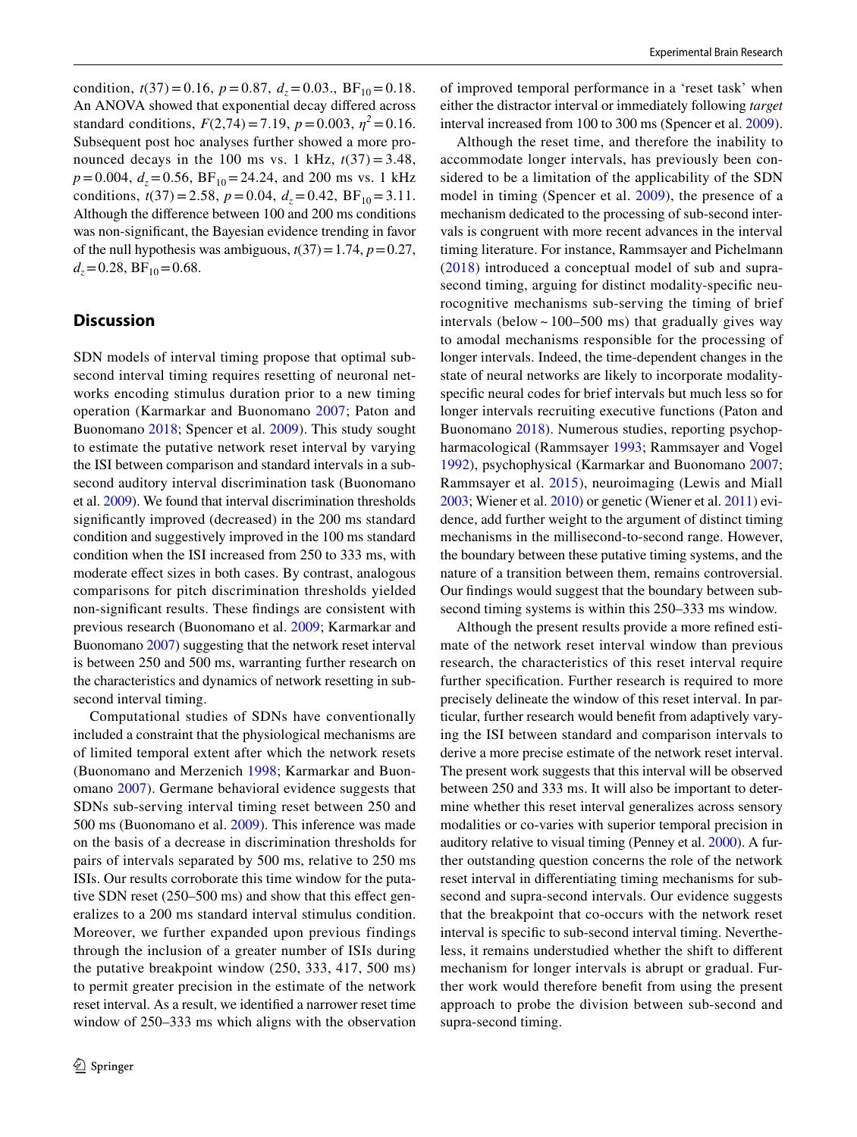condition,  $t(37) = 0.16$ ,  $p = 0.87$ ,  $d_z = 0.03$ .,  $BF_{10} = 0.18$ . An ANOVA showed that exponential decay difered across standard conditions,  $F(2,74) = 7.19$ ,  $p = 0.003$ ,  $\eta^2 = 0.16$ . Subsequent post hoc analyses further showed a more pronounced decays in the 100 ms vs. 1 kHz,  $t(37) = 3.48$ ,  $p = 0.004$ ,  $d_z = 0.56$ ,  $BF_{10} = 24.24$ , and 200 ms vs. 1 kHz conditions,  $t(37) = 2.58$ ,  $p = 0.04$ ,  $d<sub>z</sub> = 0.42$ ,  $BF<sub>10</sub> = 3.11$ . Although the diference between 100 and 200 ms conditions was non-signifcant, the Bayesian evidence trending in favor of the null hypothesis was ambiguous,  $t(37)=1.74$ ,  $p=0.27$ ,  $d_z = 0.28$ ,  $BF_{10} = 0.68$ .

## **Discussion**

SDN models of interval timing propose that optimal subsecond interval timing requires resetting of neuronal networks encoding stimulus duration prior to a new timing operation (Karmarkar and Buonomano [2007;](#page-7-10) Paton and Buonomano [2018;](#page-7-11) Spencer et al. [2009\)](#page-7-13). This study sought to estimate the putative network reset interval by varying the ISI between comparison and standard intervals in a subsecond auditory interval discrimination task (Buonomano et al. [2009\)](#page-7-12). We found that interval discrimination thresholds signifcantly improved (decreased) in the 200 ms standard condition and suggestively improved in the 100 ms standard condition when the ISI increased from 250 to 333 ms, with moderate efect sizes in both cases. By contrast, analogous comparisons for pitch discrimination thresholds yielded non-signifcant results. These fndings are consistent with previous research (Buonomano et al. [2009;](#page-7-12) Karmarkar and Buonomano [2007\)](#page-7-10) suggesting that the network reset interval is between 250 and 500 ms, warranting further research on the characteristics and dynamics of network resetting in subsecond interval timing.

Computational studies of SDNs have conventionally included a constraint that the physiological mechanisms are of limited temporal extent after which the network resets (Buonomano and Merzenich [1998](#page-6-5); Karmarkar and Buonomano [2007](#page-7-10)). Germane behavioral evidence suggests that SDNs sub-serving interval timing reset between 250 and 500 ms (Buonomano et al. [2009\)](#page-7-12). This inference was made on the basis of a decrease in discrimination thresholds for pairs of intervals separated by 500 ms, relative to 250 ms ISIs. Our results corroborate this time window for the putative SDN reset (250–500 ms) and show that this effect generalizes to a 200 ms standard interval stimulus condition. Moreover, we further expanded upon previous findings through the inclusion of a greater number of ISIs during the putative breakpoint window (250, 333, 417, 500 ms) to permit greater precision in the estimate of the network reset interval. As a result, we identifed a narrower reset time window of 250–333 ms which aligns with the observation of improved temporal performance in a 'reset task' when either the distractor interval or immediately following *target* interval increased from 100 to 300 ms (Spencer et al. [2009](#page-7-13)).

Although the reset time, and therefore the inability to accommodate longer intervals, has previously been considered to be a limitation of the applicability of the SDN model in timing (Spencer et al. [2009\)](#page-7-13), the presence of a mechanism dedicated to the processing of sub-second intervals is congruent with more recent advances in the interval timing literature. For instance, Rammsayer and Pichelmann ([2018](#page-7-7)) introduced a conceptual model of sub and suprasecond timing, arguing for distinct modality-specific neurocognitive mechanisms sub-serving the timing of brief intervals (below  $\sim$  100–500 ms) that gradually gives way to amodal mechanisms responsible for the processing of longer intervals. Indeed, the time-dependent changes in the state of neural networks are likely to incorporate modalityspecifc neural codes for brief intervals but much less so for longer intervals recruiting executive functions (Paton and Buonomano [2018](#page-7-11)). Numerous studies, reporting psychopharmacological (Rammsayer [1993](#page-7-27); Rammsayer and Vogel [1992\)](#page-7-28), psychophysical (Karmarkar and Buonomano [2007](#page-7-10); Rammsayer et al. [2015](#page-7-29)), neuroimaging (Lewis and Miall [2003;](#page-7-9) Wiener et al. [2010](#page-7-30)) or genetic (Wiener et al. [2011\)](#page-7-31) evidence, add further weight to the argument of distinct timing mechanisms in the millisecond-to-second range. However, the boundary between these putative timing systems, and the nature of a transition between them, remains controversial. Our fndings would suggest that the boundary between subsecond timing systems is within this 250–333 ms window.

Although the present results provide a more refned estimate of the network reset interval window than previous research, the characteristics of this reset interval require further specifcation. Further research is required to more precisely delineate the window of this reset interval. In particular, further research would beneft from adaptively varying the ISI between standard and comparison intervals to derive a more precise estimate of the network reset interval. The present work suggests that this interval will be observed between 250 and 333 ms. It will also be important to determine whether this reset interval generalizes across sensory modalities or co-varies with superior temporal precision in auditory relative to visual timing (Penney et al. [2000](#page-7-32)). A further outstanding question concerns the role of the network reset interval in diferentiating timing mechanisms for subsecond and supra-second intervals. Our evidence suggests that the breakpoint that co-occurs with the network reset interval is specifc to sub-second interval timing. Nevertheless, it remains understudied whether the shift to diferent mechanism for longer intervals is abrupt or gradual. Further work would therefore beneft from using the present approach to probe the division between sub-second and supra-second timing.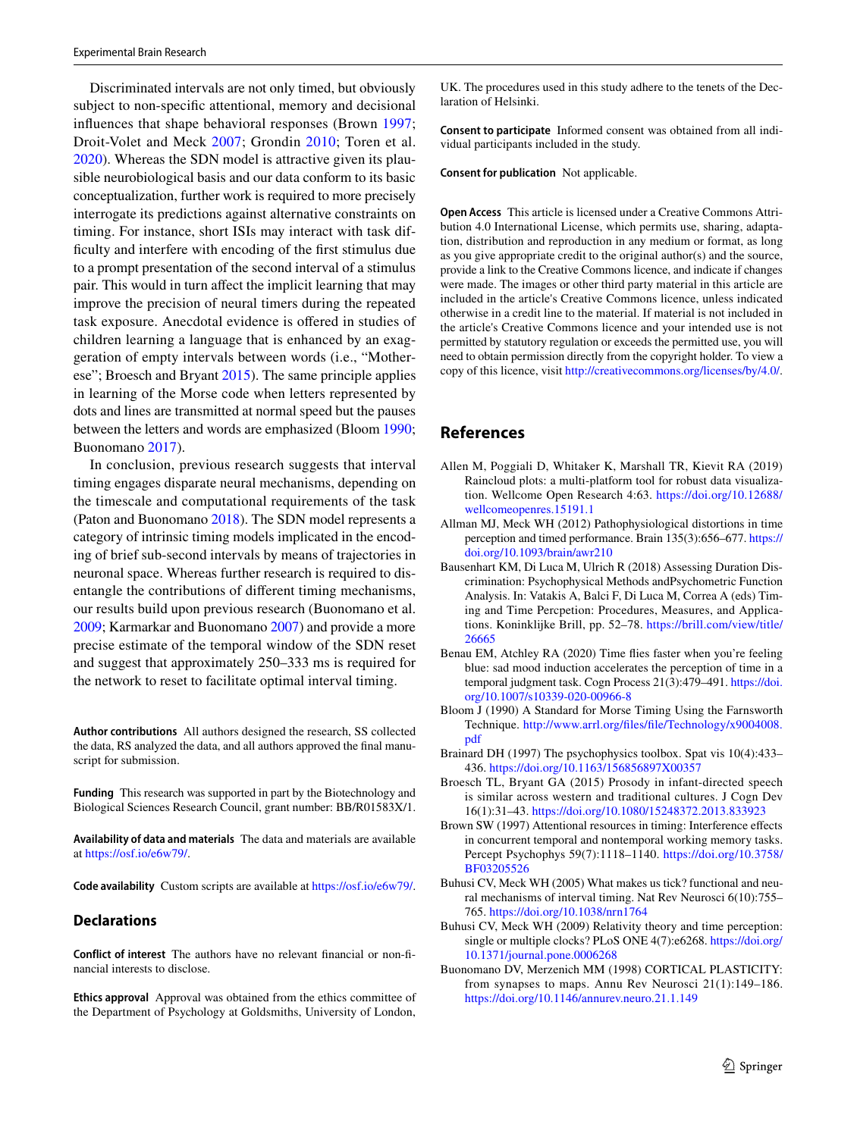Discriminated intervals are not only timed, but obviously subject to non-specifc attentional, memory and decisional infuences that shape behavioral responses (Brown [1997](#page-6-8); Droit-Volet and Meck [2007](#page-7-33); Grondin [2010;](#page-7-34) Toren et al. [2020](#page-7-35)). Whereas the SDN model is attractive given its plausible neurobiological basis and our data conform to its basic conceptualization, further work is required to more precisely interrogate its predictions against alternative constraints on timing. For instance, short ISIs may interact with task diffculty and interfere with encoding of the frst stimulus due to a prompt presentation of the second interval of a stimulus pair. This would in turn afect the implicit learning that may improve the precision of neural timers during the repeated task exposure. Anecdotal evidence is ofered in studies of children learning a language that is enhanced by an exaggeration of empty intervals between words (i.e., "Motherese"; Broesch and Bryant [2015](#page-6-9)). The same principle applies in learning of the Morse code when letters represented by dots and lines are transmitted at normal speed but the pauses between the letters and words are emphasized (Bloom [1990](#page-6-10); Buonomano [2017\)](#page-7-36).

In conclusion, previous research suggests that interval timing engages disparate neural mechanisms, depending on the timescale and computational requirements of the task (Paton and Buonomano [2018\)](#page-7-11). The SDN model represents a category of intrinsic timing models implicated in the encoding of brief sub-second intervals by means of trajectories in neuronal space. Whereas further research is required to disentangle the contributions of diferent timing mechanisms, our results build upon previous research (Buonomano et al. [2009;](#page-7-12) Karmarkar and Buonomano [2007\)](#page-7-10) and provide a more precise estimate of the temporal window of the SDN reset and suggest that approximately 250–333 ms is required for the network to reset to facilitate optimal interval timing.

**Author contributions** All authors designed the research, SS collected the data, RS analyzed the data, and all authors approved the fnal manuscript for submission.

**Funding** This research was supported in part by the Biotechnology and Biological Sciences Research Council, grant number: BB/R01583X/1.

**Availability of data and materials** The data and materials are available at<https://osf.io/e6w79/>.

**Code availability** Custom scripts are available at<https://osf.io/e6w79/>.

#### **Declarations**

**Conflict of interest** The authors have no relevant fnancial or non-fnancial interests to disclose.

**Ethics approval** Approval was obtained from the ethics committee of the Department of Psychology at Goldsmiths, University of London,

UK. The procedures used in this study adhere to the tenets of the Declaration of Helsinki.

**Consent to participate** Informed consent was obtained from all individual participants included in the study.

**Consent for publication** Not applicable.

**Open Access** This article is licensed under a Creative Commons Attribution 4.0 International License, which permits use, sharing, adaptation, distribution and reproduction in any medium or format, as long as you give appropriate credit to the original author(s) and the source, provide a link to the Creative Commons licence, and indicate if changes were made. The images or other third party material in this article are included in the article's Creative Commons licence, unless indicated otherwise in a credit line to the material. If material is not included in the article's Creative Commons licence and your intended use is not permitted by statutory regulation or exceeds the permitted use, you will need to obtain permission directly from the copyright holder. To view a copy of this licence, visit<http://creativecommons.org/licenses/by/4.0/>.

## **References**

- <span id="page-6-7"></span>Allen M, Poggiali D, Whitaker K, Marshall TR, Kievit RA (2019) Raincloud plots: a multi-platform tool for robust data visualization. Wellcome Open Research 4:63. [https://doi.org/10.12688/](https://doi.org/10.12688/wellcomeopenres.15191.1) [wellcomeopenres.15191.1](https://doi.org/10.12688/wellcomeopenres.15191.1)
- <span id="page-6-2"></span>Allman MJ, Meck WH (2012) Pathophysiological distortions in time perception and timed performance. Brain 135(3):656–677. [https://](https://doi.org/10.1093/brain/awr210) [doi.org/10.1093/brain/awr210](https://doi.org/10.1093/brain/awr210)
- <span id="page-6-1"></span>Bausenhart KM, Di Luca M, Ulrich R (2018) Assessing Duration Discrimination: Psychophysical Methods andPsychometric Function Analysis. In: Vatakis A, Balci F, Di Luca M, Correa A (eds) Timing and Time Percpetion: Procedures, Measures, and Applications. Koninklijke Brill, pp. 52–78. [https://brill.com/view/title/](https://brill.com/view/title/26665) [26665](https://brill.com/view/title/26665)
- <span id="page-6-3"></span>Benau EM, Atchley RA (2020) Time fies faster when you're feeling blue: sad mood induction accelerates the perception of time in a temporal judgment task. Cogn Process 21(3):479–491. [https://doi.](https://doi.org/10.1007/s10339-020-00966-8) [org/10.1007/s10339-020-00966-8](https://doi.org/10.1007/s10339-020-00966-8)
- <span id="page-6-10"></span>Bloom J (1990) A Standard for Morse Timing Using the Farnsworth Technique. [http://www.arrl.org/fles/fle/Technology/x9004008.](http://www.arrl.org/files/file/Technology/x9004008.pdf) [pdf](http://www.arrl.org/files/file/Technology/x9004008.pdf)
- <span id="page-6-6"></span>Brainard DH (1997) The psychophysics toolbox. Spat vis 10(4):433– 436.<https://doi.org/10.1163/156856897X00357>
- <span id="page-6-9"></span>Broesch TL, Bryant GA (2015) Prosody in infant-directed speech is similar across western and traditional cultures. J Cogn Dev 16(1):31–43. <https://doi.org/10.1080/15248372.2013.833923>
- <span id="page-6-8"></span>Brown SW (1997) Attentional resources in timing: Interference efects in concurrent temporal and nontemporal working memory tasks. Percept Psychophys 59(7):1118–1140. [https://doi.org/10.3758/](https://doi.org/10.3758/BF03205526) [BF03205526](https://doi.org/10.3758/BF03205526)
- <span id="page-6-0"></span>Buhusi CV, Meck WH (2005) What makes us tick? functional and neural mechanisms of interval timing. Nat Rev Neurosci 6(10):755– 765.<https://doi.org/10.1038/nrn1764>
- <span id="page-6-4"></span>Buhusi CV, Meck WH (2009) Relativity theory and time perception: single or multiple clocks? PLoS ONE 4(7):e6268. [https://doi.org/](https://doi.org/10.1371/journal.pone.0006268) [10.1371/journal.pone.0006268](https://doi.org/10.1371/journal.pone.0006268)
- <span id="page-6-5"></span>Buonomano DV, Merzenich MM (1998) CORTICAL PLASTICITY: from synapses to maps. Annu Rev Neurosci 21(1):149–186. <https://doi.org/10.1146/annurev.neuro.21.1.149>